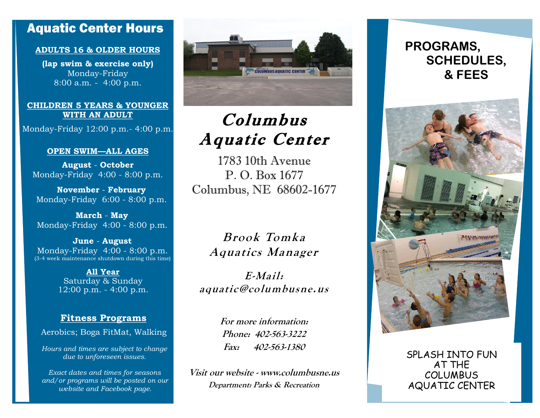### Aquatic Center Hours

#### **ADULTS 16 & OLDER HOURS**

**(lap swim & exercise only)** Monday-Friday 8:00 a.m. - 4:00 p.m.

#### **CHILDREN 5 YEARS & YOUNGER WITH AN ADULT**

Monday-Friday 12:00 p.m.- 4:00 p.m.

#### **OPEN SWIM—ALL AGES**

**August** - **October** Monday-Friday 4:00 - 8:00 p.m.

**November** - **February** Monday-Friday 6:00 - 8:00 p.m.

**March** - **May** Monday-Friday 4:00 - 8:00 p.m.

**June** - **August** Monday-Friday 4:00 - 8:00 p.m. (3-4 week maintenance shutdown during this time)

> **All Year** Saturday & Sunday 12:00 p.m. - 4:00 p.m.

#### **Fitness Programs**

Aerobics; Boga FitMat, Walking

*Hours and times are subject to change due to unforeseen issues.*

*Exact dates and times for seasons and/or programs will be posted on our website and Facebook page.* 



## Columbus Aquatic Center

1783 10th Avenue P. O. Box 1677 Columbus, NE 68602-1677

**Brook Tomk <sup>a</sup> Aquatics Manager**

**E-Mail: aquatic@columbusne.us**

> **For more information: Phone: 402-563-3222 Fax: 402-563-1380**

**Visit our website - www.columbusne.us Department: Parks & Recreation**

## **PROGRAMS, SCHEDULES, & FEES**



SPLASH INTO FUN AT THE COLUMBUS AQUATIC CENTER